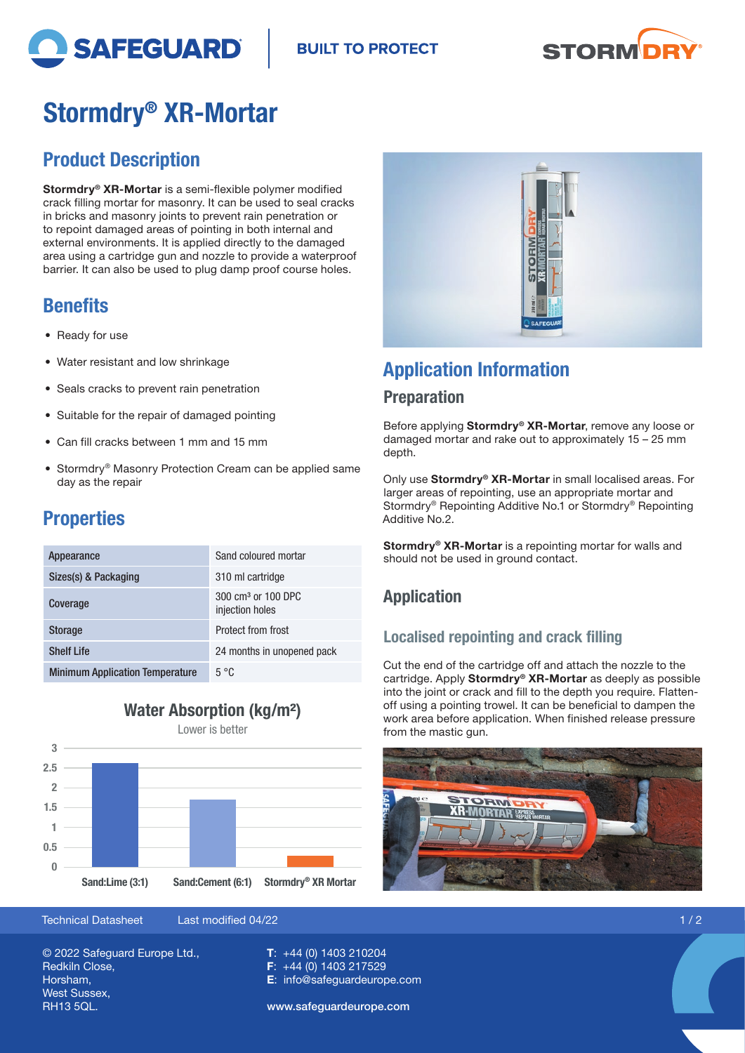

**BUILT TO PROTECT** 



# Stormdry® XR-Mortar

## Product Description

Stormdry® XR-Mortar is a semi-flexible polymer modified crack filling mortar for masonry. It can be used to seal cracks in bricks and masonry joints to prevent rain penetration or to repoint damaged areas of pointing in both internal and external environments. It is applied directly to the damaged area using a cartridge gun and nozzle to provide a waterproof barrier. It can also be used to plug damp proof course holes.

## **Benefits**

- Ready for use
- Water resistant and low shrinkage
- Seals cracks to prevent rain penetration
- Suitable for the repair of damaged pointing
- Can fill cracks between 1 mm and 15 mm
- Stormdry® Masonry Protection Cream can be applied same day as the repair

## **Properties**

| Appearance                             | Sand coloured mortar                              |
|----------------------------------------|---------------------------------------------------|
| Sizes(s) & Packaging                   | 310 ml cartridge                                  |
| Coverage                               | 300 cm <sup>3</sup> or 100 DPC<br>injection holes |
| <b>Storage</b>                         | Protect from frost                                |
| <b>Shelf Life</b>                      | 24 months in unopened pack                        |
| <b>Minimum Application Temperature</b> | $5^{\circ}$ C                                     |

### Water Absorption (kg/m²)

Lower is better



Technical Datasheet Last modified 04/22 1 / 2

© 2022 Safeguard Europe Ltd., Redkiln Close, Horsham, West Sussex, RH13 5QL.

T: +44 (0) 1403 210204 F: +44 (0) 1403 217529 E: info@safeguardeurope.com

www.safeguardeurope.com



## Application Information

#### **Preparation**

Before applying Stormdry® XR-Mortar, remove any loose or damaged mortar and rake out to approximately 15 – 25 mm depth.

Only use Stormdry® XR-Mortar in small localised areas. For larger areas of repointing, use an appropriate mortar and Stormdry® Repointing Additive No.1 or Stormdry® Repointing Additive No.2.

Stormdry<sup>®</sup> XR-Mortar is a repointing mortar for walls and should not be used in ground contact.

### Application

#### Localised repointing and crack filling

Cut the end of the cartridge off and attach the nozzle to the cartridge. Apply Stormdry<sup>®</sup> XR-Mortar as deeply as possible into the joint or crack and fill to the depth you require. Flattenoff using a pointing trowel. It can be beneficial to dampen the work area before application. When finished release pressure from the mastic gun.